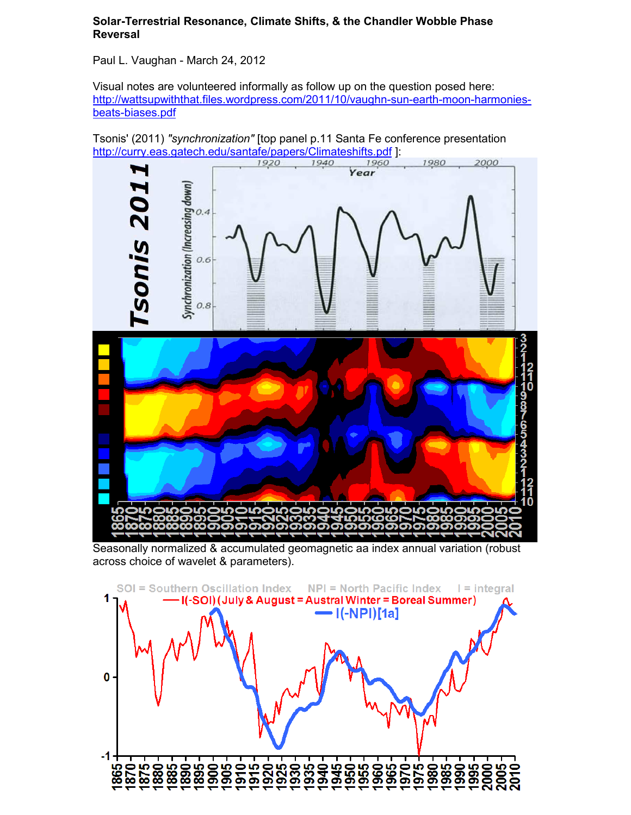## **Solar-Terrestrial Resonance, Climate Shifts, & the Chandler Wobble Phase Reversal**

Paul L. Vaughan - March 24, 2012

Visual notes are volunteered informally as follow up on the question posed here: [http://wattsupwiththat.files.wordpress.com/2011/10/vaughn-sun-earth-moon-harmonies](http://wattsupwiththat.files.wordpress.com/2011/10/vaughn-sun-earth-moon-harmonies-beats-biases.pdf)[beats-biases.pdf](http://wattsupwiththat.files.wordpress.com/2011/10/vaughn-sun-earth-moon-harmonies-beats-biases.pdf)



Seasonally normalized & accumulated geomagnetic aa index annual variation (robust across choice of wavelet & parameters).

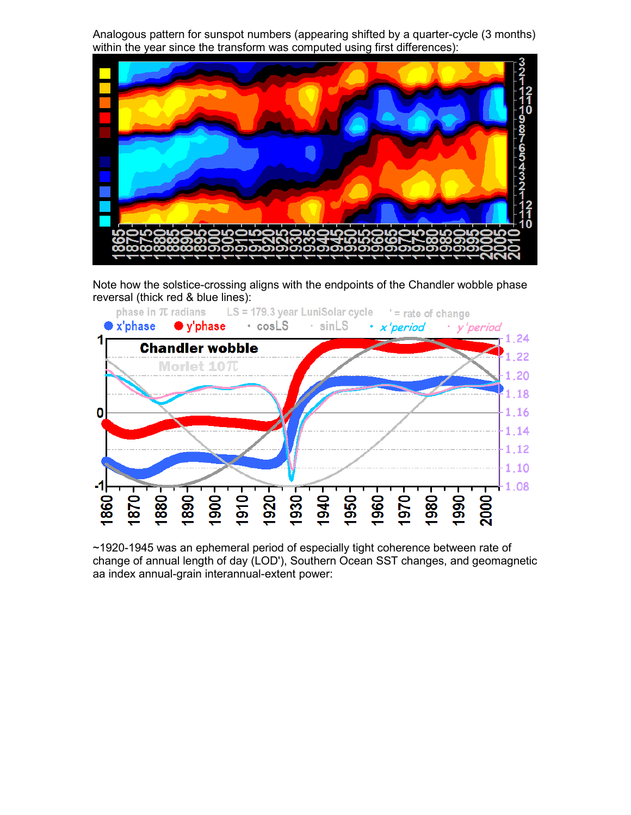Analogous pattern for sunspot numbers (appearing shifted by a quarter-cycle (3 months) within the year since the transform was computed using first differences):



Note how the solstice-crossing aligns with the endpoints of the Chandler wobble phase reversal (thick red & blue lines):



~1920-1945 was an ephemeral period of especially tight coherence between rate of change of annual length of day (LOD'), Southern Ocean SST changes, and geomagnetic aa index annual-grain interannual-extent power: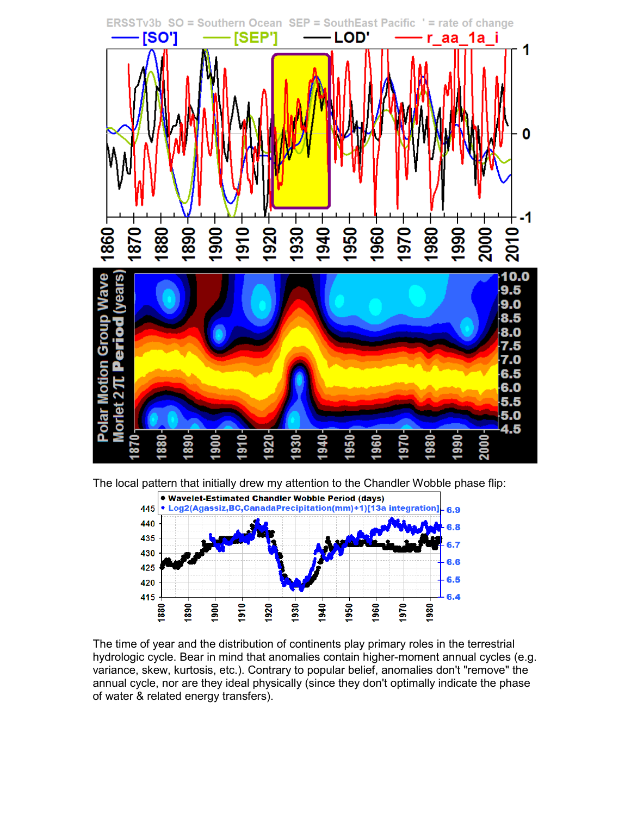

The local pattern that initially drew my attention to the Chandler Wobble phase flip:



The time of year and the distribution of continents play primary roles in the terrestrial hydrologic cycle. Bear in mind that anomalies contain higher-moment annual cycles (e.g. variance, skew, kurtosis, etc.). Contrary to popular belief, anomalies don't "remove" the annual cycle, nor are they ideal physically (since they don't optimally indicate the phase of water & related energy transfers).